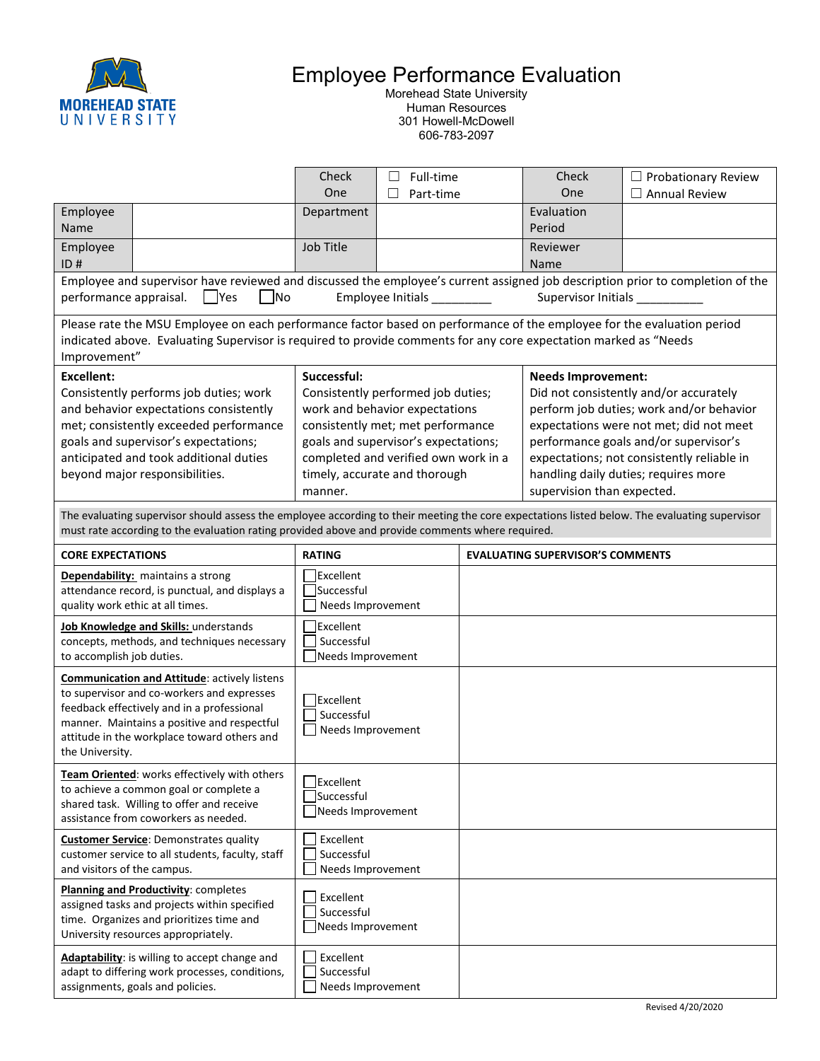

## Employee Performance Evaluation

Morehead State University Human Resources 301 Howell-McDowell 606-783-2097

|                                                                                                                                                                                                                                                                     |  | Check                                                                                                                                                                                                                                                | $\Box$ | Full-time |                                         | Check                                                                                                                                                                                                                                                                                                                   | $\Box$ Probationary Review |  |  |
|---------------------------------------------------------------------------------------------------------------------------------------------------------------------------------------------------------------------------------------------------------------------|--|------------------------------------------------------------------------------------------------------------------------------------------------------------------------------------------------------------------------------------------------------|--------|-----------|-----------------------------------------|-------------------------------------------------------------------------------------------------------------------------------------------------------------------------------------------------------------------------------------------------------------------------------------------------------------------------|----------------------------|--|--|
|                                                                                                                                                                                                                                                                     |  | One                                                                                                                                                                                                                                                  |        | Part-time |                                         | One                                                                                                                                                                                                                                                                                                                     | $\Box$ Annual Review       |  |  |
| Employee<br>Name                                                                                                                                                                                                                                                    |  | Department                                                                                                                                                                                                                                           |        |           |                                         | Evaluation<br>Period                                                                                                                                                                                                                                                                                                    |                            |  |  |
| Employee<br>ID#                                                                                                                                                                                                                                                     |  | Job Title                                                                                                                                                                                                                                            |        |           |                                         | Reviewer<br>Name                                                                                                                                                                                                                                                                                                        |                            |  |  |
| Employee and supervisor have reviewed and discussed the employee's current assigned job description prior to completion of the<br>Yes<br>Employee Initials _________<br>Supervisor Initials<br>performance appraisal.<br> No                                        |  |                                                                                                                                                                                                                                                      |        |           |                                         |                                                                                                                                                                                                                                                                                                                         |                            |  |  |
| Please rate the MSU Employee on each performance factor based on performance of the employee for the evaluation period<br>indicated above. Evaluating Supervisor is required to provide comments for any core expectation marked as "Needs<br>Improvement"          |  |                                                                                                                                                                                                                                                      |        |           |                                         |                                                                                                                                                                                                                                                                                                                         |                            |  |  |
| <b>Excellent:</b><br>Consistently performs job duties; work<br>and behavior expectations consistently<br>met; consistently exceeded performance<br>goals and supervisor's expectations;<br>anticipated and took additional duties<br>beyond major responsibilities. |  | Successful:<br>Consistently performed job duties;<br>work and behavior expectations<br>consistently met; met performance<br>goals and supervisor's expectations;<br>completed and verified own work in a<br>timely, accurate and thorough<br>manner. |        |           |                                         | <b>Needs Improvement:</b><br>Did not consistently and/or accurately<br>perform job duties; work and/or behavior<br>expectations were not met; did not meet<br>performance goals and/or supervisor's<br>expectations; not consistently reliable in<br>handling daily duties; requires more<br>supervision than expected. |                            |  |  |
| The evaluating supervisor should assess the employee according to their meeting the core expectations listed below. The evaluating supervisor<br>must rate according to the evaluation rating provided above and provide comments where required.                   |  |                                                                                                                                                                                                                                                      |        |           |                                         |                                                                                                                                                                                                                                                                                                                         |                            |  |  |
| <b>CORE EXPECTATIONS</b>                                                                                                                                                                                                                                            |  | <b>RATING</b>                                                                                                                                                                                                                                        |        |           | <b>EVALUATING SUPERVISOR'S COMMENTS</b> |                                                                                                                                                                                                                                                                                                                         |                            |  |  |
| Dependability: maintains a strong<br>attendance record, is punctual, and displays a<br>quality work ethic at all times.                                                                                                                                             |  | <b>Excellent</b><br>Successful<br>Needs Improvement                                                                                                                                                                                                  |        |           |                                         |                                                                                                                                                                                                                                                                                                                         |                            |  |  |
| Job Knowledge and Skills: understands<br>concepts, methods, and techniques necessary<br>to accomplish job duties.                                                                                                                                                   |  | <b>Excellent</b><br>Successful<br>Needs Improvement                                                                                                                                                                                                  |        |           |                                         |                                                                                                                                                                                                                                                                                                                         |                            |  |  |
| <b>Communication and Attitude: actively listens</b><br>to supervisor and co-workers and expresses<br>feedback effectively and in a professional<br>manner. Maintains a positive and respectful<br>attitude in the workplace toward others and<br>the University.    |  | Excellent<br>Successful<br>Needs Improvement                                                                                                                                                                                                         |        |           |                                         |                                                                                                                                                                                                                                                                                                                         |                            |  |  |
| Team Oriented: works effectively with others<br>to achieve a common goal or complete a<br>shared task. Willing to offer and receive<br>assistance from coworkers as needed.                                                                                         |  | Excellent<br>Successful<br>Needs Improvement                                                                                                                                                                                                         |        |           |                                         |                                                                                                                                                                                                                                                                                                                         |                            |  |  |
| <b>Customer Service:</b> Demonstrates quality<br>customer service to all students, faculty, staff<br>and visitors of the campus.                                                                                                                                    |  | Excellent<br>Successful<br>Needs Improvement                                                                                                                                                                                                         |        |           |                                         |                                                                                                                                                                                                                                                                                                                         |                            |  |  |
| Planning and Productivity: completes<br>assigned tasks and projects within specified<br>time. Organizes and prioritizes time and<br>University resources appropriately.                                                                                             |  | Excellent<br>Successful<br>Needs Improvement                                                                                                                                                                                                         |        |           |                                         |                                                                                                                                                                                                                                                                                                                         |                            |  |  |
| Adaptability: is willing to accept change and<br>adapt to differing work processes, conditions,<br>assignments, goals and policies.                                                                                                                                 |  | Excellent<br>Successful<br>Needs Improvement                                                                                                                                                                                                         |        |           |                                         |                                                                                                                                                                                                                                                                                                                         |                            |  |  |